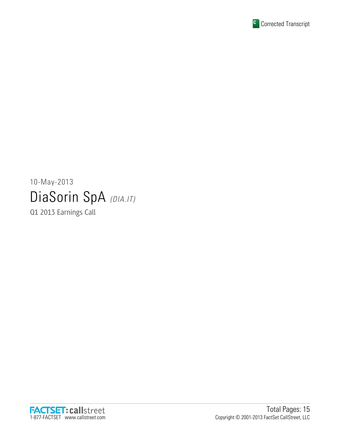

# 10-May-2013 DiaSorin SpA (DIA.IT)

Q1 2013 Earnings Call

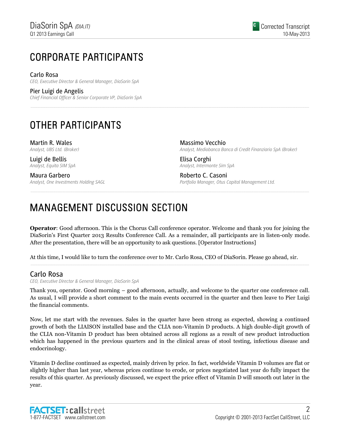## CORPORATE PARTICIPANTS

Carlo Rosa

*CEO, Executive Director & General Manager, DiaSorin SpA*

Pier Luigi de Angelis *Chief Financial Officer & Senior Corporate VP, DiaSorin SpA*

## OTHER PARTICIPANTS

Martin R. Wales *Analyst, UBS Ltd. (Broker)*

Luigi de Bellis *Analyst, Equita SIM SpA*

Maura Garbero *Analyst, One Investments Holding SAGL*

Massimo Vecchio *Analyst, Mediobanca Banca di Credit Finanziario SpA (Broker)*

Elisa Corghi *Analyst, Intermonte Sim SpA*

Roberto C. Casoni *Portfolio Manager, Otus Capital Management Ltd.*

## MANAGEMENT DISCUSSION SECTION

**Operator**: Good afternoon. This is the Chorus Call conference operator. Welcome and thank you for joining the DiaSorin's First Quarter 2013 Results Conference Call. As a remainder, all participants are in listen-only mode. After the presentation, there will be an opportunity to ask questions. [Operator Instructions]

......................................................................................................................................................................................................................................................

......................................................................................................................................................................................................................................................

......................................................................................................................................................................................................................................................

At this time, I would like to turn the conference over to Mr. Carlo Rosa, CEO of DiaSorin. Please go ahead, sir.

### Carlo Rosa

*CEO, Executive Director & General Manager, DiaSorin SpA*

Thank you, operator. Good morning – good afternoon, actually, and welcome to the quarter one conference call. As usual, I will provide a short comment to the main events occurred in the quarter and then leave to Pier Luigi the financial comments.

Now, let me start with the revenues. Sales in the quarter have been strong as expected, showing a continued growth of both the LIAISON installed base and the CLIA non-Vitamin D products. A high double-digit growth of the CLIA non-Vitamin D product has been obtained across all regions as a result of new product introduction which has happened in the previous quarters and in the clinical areas of stool testing, infectious disease and endocrinology.

Vitamin D decline continued as expected, mainly driven by price. In fact, worldwide Vitamin D volumes are flat or slightly higher than last year, whereas prices continue to erode, or prices negotiated last year do fully impact the results of this quarter. As previously discussed, we expect the price effect of Vitamin D will smooth out later in the year.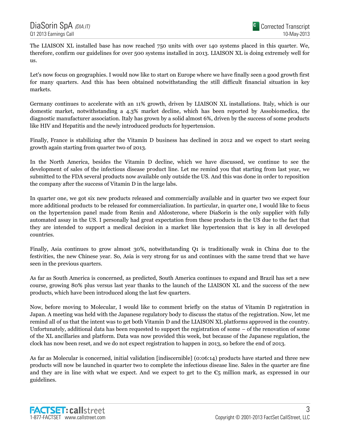The LIAISON XL installed base has now reached 750 units with over 140 systems placed in this quarter. We, therefore, confirm our guidelines for over 500 systems installed in 2013. LIAISON XL is doing extremely well for us.

Let's now focus on geographies. I would now like to start on Europe where we have finally seen a good growth first for many quarters. And this has been obtained notwithstanding the still difficult financial situation in key markets.

Germany continues to accelerate with an 11% growth, driven by LIAISON XL installations. Italy, which is our domestic market, notwithstanding a 4.3% market decline, which has been reported by Assobiomedica, the diagnostic manufacturer association. Italy has grown by a solid almost 6%, driven by the success of some products like HIV and Hepatitis and the newly introduced products for hypertension.

Finally, France is stabilizing after the Vitamin D business has declined in 2012 and we expect to start seeing growth again starting from quarter two of 2013.

In the North America, besides the Vitamin D decline, which we have discussed, we continue to see the development of sales of the infectious disease product line. Let me remind you that starting from last year, we submitted to the FDA several products now available only outside the US. And this was done in order to reposition the company after the success of Vitamin D in the large labs.

In quarter one, we got six new products released and commercially available and in quarter two we expect four more additional products to be released for commercialization. In particular, in quarter one, I would like to focus on the hypertension panel made from Renin and Aldosterone, where DiaSorin is the only supplier with fully automated assay in the US. I personally had great expectation from these products in the US due to the fact that they are intended to support a medical decision in a market like hypertension that is key in all developed countries.

Finally, Asia continues to grow almost 30%, notwithstanding Q1 is traditionally weak in China due to the festivities, the new Chinese year. So, Asia is very strong for us and continues with the same trend that we have seen in the previous quarters.

As far as South America is concerned, as predicted, South America continues to expand and Brazil has set a new course, growing 80% plus versus last year thanks to the launch of the LIAISON XL and the success of the new products, which have been introduced along the last few quarters.

Now, before moving to Molecular, I would like to comment briefly on the status of Vitamin D registration in Japan. A meeting was held with the Japanese regulatory body to discuss the status of the registration. Now, let me remind all of us that the intent was to get both Vitamin D and the LIAISON XL platforms approved in the country. Unfortunately, additional data has been requested to support the registration of some – of the renovation of some of the XL ancillaries and platform. Data was now provided this week, but because of the Japanese regulation, the clock has now been reset, and we do not expect registration to happen in 2013, so before the end of 2013.

As far as Molecular is concerned, initial validation [indiscernible] (0:06:14) products have started and three new products will now be launched in quarter two to complete the infectious disease line. Sales in the quarter are fine and they are in line with what we expect. And we expect to get to the  $\epsilon_5$  million mark, as expressed in our guidelines.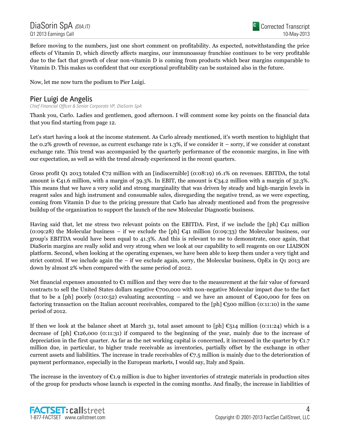Before moving to the numbers, just one short comment on profitability. As expected, notwithstanding the price effects of Vitamin D, which directly affects margins, our immunoassay franchise continues to be very profitable due to the fact that growth of clear non-vitamin D is coming from products which bear margins comparable to Vitamin D. This makes us confident that our exceptional profitability can be sustained also in the future.

Now, let me now turn the podium to Pier Luigi.

### Pier Luigi de Angelis

*Chief Financial Officer & Senior Corporate VP, DiaSorin SpA*

Thank you, Carlo. Ladies and gentlemen, good afternoon. I will comment some key points on the financial data that you find starting from page 12.

......................................................................................................................................................................................................................................................

Let's start having a look at the income statement. As Carlo already mentioned, it's worth mention to highlight that the 0.2% growth of revenue, as current exchange rate is 1.3%, if we consider it – sorry, if we consider at constant exchange rate. This trend was accompanied by the quarterly performance of the economic margins, in line with our expectation, as well as with the trend already experienced in the recent quarters.

Gross profit Q1 2013 totaled  $\epsilon$ 72 million with an [indiscernible] (0:08:19) 16.1% on revenues. EBITDA, the total amount is  $\epsilon$ 41.6 million, with a margin of 39.3%. In EBIT, the amount is  $\epsilon$ 34.2 million with a margin of 32.3%. This means that we have a very solid and strong marginality that was driven by steady and high-margin levels in reagent sales and high instrument and consumable sales, disregarding the negative trend, as we were expecting, coming from Vitamin D due to the pricing pressure that Carlo has already mentioned and from the progressive buildup of the organization to support the launch of the new Molecular Diagnostic business.

Having said that, let me stress two relevant points on the EBITDA. First, if we include the [ph]  $\epsilon_{41}$  million (0:09:28) the Molecular business – if we exclude the [ph]  $\mathfrak{C}_{41}$  million (0:09:33) the Molecular business, our group's EBITDA would have been equal to 41.3%. And this is relevant to me to demonstrate, once again, that DiaSorin margins are really solid and very strong when we look at our capability to sell reagents on our LIAISON platform. Second, when looking at the operating expenses, we have been able to keep them under a very tight and strict control. If we include again the – if we exclude again, sorry, the Molecular business, OpEx in Q1 2013 are down by almost 2% when compared with the same period of 2012.

Net financial expenses amounted to  $\epsilon_1$  million and they were due to the measurement at the fair value of forward contracts to sell the United States dollars negative €700,000 with non-negative Molecular impact due to the fact that to be a [ph] poorly (0:10:52) evaluating accounting – and we have an amount of  $\epsilon$ 400,000 for fees on factoring transaction on the Italian account receivables, compared to the [ph]  $\epsilon$ 500 million (0:11:10) in the same period of 2012.

If then we look at the balance sheet at March 31, total asset amount to [ph]  $\epsilon$ 514 million (0:11:24) which is a decrease of  $[ph]$  €126,000 (0:11:31) if compared to the beginning of the year, mainly due to the increase of depreciation in the first quarter. As far as the net working capital is concerned, it increased in the quarter by  $\epsilon_{1.7}$ million due, in particular, to higher trade receivable as inventories, partially offset by the exchange in other current assets and liabilities. The increase in trade receivables of  $\mathfrak{C}7.5$  million is mainly due to the deterioration of payment performance, especially in the European markets, I would say, Italy and Spain.

The increase in the inventory of  $\epsilon_{1.9}$  million is due to higher inventories of strategic materials in production sites of the group for products whose launch is expected in the coming months. And finally, the increase in liabilities of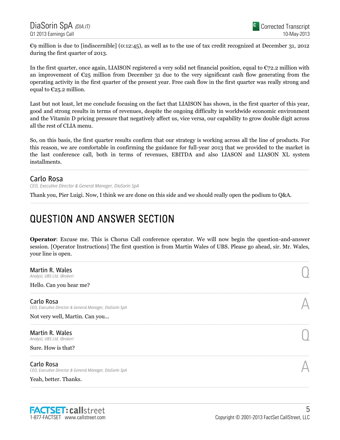€9 million is due to [indiscernible] (0:12:45), as well as to the use of tax credit recognized at December 31, 2012 during the first quarter of 2013.

In the first quarter, once again, LIAISON registered a very solid net financial position, equal to  $\mathbb{C}$ 72.2 million with an improvement of  $\mathfrak{C}25$  million from December 31 due to the very significant cash flow generating from the operating activity in the first quarter of the present year. Free cash flow in the first quarter was really strong and equal to  $\epsilon$ 25.2 million.

Last but not least, let me conclude focusing on the fact that LIAISON has shown, in the first quarter of this year, good and strong results in terms of revenues, despite the ongoing difficulty in worldwide economic environment and the Vitamin D pricing pressure that negatively affect us, vice versa, our capability to grow double digit across all the rest of CLIA menu.

So, on this basis, the first quarter results confirm that our strategy is working across all the line of products. For this reason, we are comfortable in confirming the guidance for full-year 2013 that we provided to the market in the last conference call, both in terms of revenues, EBITDA and also LIASON and LIASON XL system installments.

......................................................................................................................................................................................................................................................

......................................................................................................................................................................................................................................................

### Carlo Rosa

*CEO, Executive Director & General Manager, DiaSorin SpA*

Thank you, Pier Luigi. Now, I think we are done on this side and we should really open the podium to Q&A.

## QUESTION AND ANSWER SECTION

**Operator**: Excuse me. This is Chorus Call conference operator. We will now begin the question-and-answer session. [Operator Instructions] The first question is from Martin Wales of UBS. Please go ahead, sir. Mr. Wales, your line is open.

| Martin R. Wales<br>Analyst, UBS Ltd. (Broker)                         |  |
|-----------------------------------------------------------------------|--|
| Hello. Can you hear me?                                               |  |
| Carlo Rosa<br>CEO, Executive Director & General Manager, DiaSorin SpA |  |
| Not very well, Martin. Can you                                        |  |
| Martin R. Wales<br>Analyst, UBS Ltd. (Broker)                         |  |
| Sure. How is that?                                                    |  |
| Carlo Rosa<br>CEO, Executive Director & General Manager, DiaSorin SpA |  |
| Yeah, better. Thanks.                                                 |  |

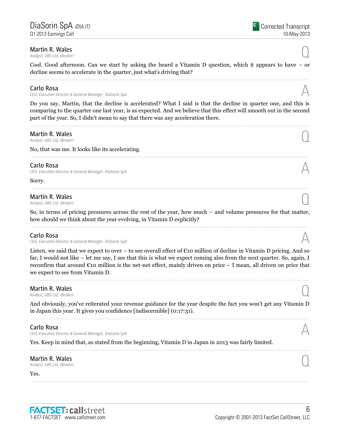## **Martin R. Wales**<br>Analyst, UBS Ltd. (Broker)

Cool. Good afternoon. Can we start by asking the board a Vitamin D question, which it appears to have – or decline seems to accelerate in the quarter, just what's driving that? ......................................................................................................................................................................................................................................................

### Carlo Rosa

*CEO, Executive Director & General Manager, DiaSorin SpA* A

Do you say, Martin, that the decline is accelerated? What I said is that the decline in quarter one, and this is comparing to the quarter one last year, is as expected. And we believe that this effect will smooth out in the second part of the year. So, I didn't mean to say that there was any acceleration there.

......................................................................................................................................................................................................................................................

......................................................................................................................................................................................................................................................

### **Martin R. Wales**<br>Analyst, UBS Ltd. (Broker) **Martin R. Wales**<br>Analyst, UBS Ltd. (Broker)

No, that was me. It looks like its accelerating.

### Carlo Rosa

*CEO, Executive Director & General Manager, DiaSorin SpA* A

Sorry.

### **Martin R. Wales**<br>Analyst, UBS Ltd. (Broker) **Martin R. Wales**<br>Analyst, UBS Ltd. (Broker)

So, in terms of pricing pressures across the rest of the year, how much – and volume pressures for that matter, how should we think about the year evolving, in Vitamin D explicitly?

### Carlo Rosa

*CEO, Executive Director & General Manager, DiaSorin SpA* A

Listen, we said that we expect to over – to see overall effect of  $\epsilon$ 10 million of decline in Vitamin D pricing. And so far, I would not like – let me say, I see that this is what we expect coming also from the next quarter. So, again, I reconfirm that around  $\epsilon$ 10 million is the net-net effect, mainly driven on price – I mean, all driven on price that we expect to see from Vitamin D.

......................................................................................................................................................................................................................................................

### **Martin R. Wales**<br>Analyst, UBS Ltd. (Broker) **Martin R. Wales**<br>Analyst, UBS Ltd. (Broker)

And obviously, you've reiterated your revenue guidance for the year despite the fact you won't get any Vitamin D in Japan this year. It gives you confidence [indiscernible] (0:17:31). ......................................................................................................................................................................................................................................................

......................................................................................................................................................................................................................................................

### Carlo Rosa

*CEO, Executive Director & General Manager, DiaSorin SpA* A

Yes. Keep in mind that, as stated from the beginning, Vitamin D in Japan in 2013 was fairly limited.

**Martin R. Wales**<br>Analyst, UBS Ltd. (Broker) **Martin R. Wales**<br>Analyst, UBS Ltd. (Broker)

Yes.

10-May-2013

Corrected Transcript









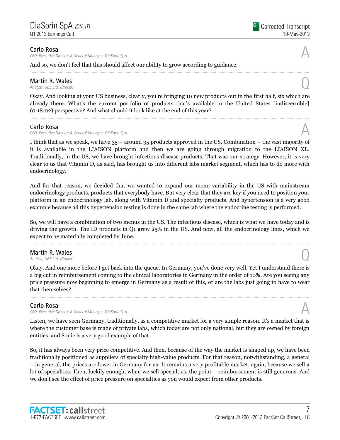*CEO, Executive Director & General Manager, DiaSorin SpA* A

And so, we don't feel that this should affect our ability to grow according to guidance.

# **Martin R. Wales**<br>Analyst, UBS Ltd. (Broker)

**Martin R. Wales**<br>Analyst, UBS Ltd. (Broker)

Okay. And looking at your US business, clearly, you're bringing 10 new products out in the first half, six which are already there. What's the current portfolio of products that's available in the United States [indiscernible] (0:18:02) perspective? And what should it look like at the end of this year?

......................................................................................................................................................................................................................................................

......................................................................................................................................................................................................................................................

**Carlo Rosa**<br>CEO, Executive Director & General Manager, DiaSorin SpA *CEO, Executive Director & General Manager, DiaSorin SpA* A

I think that as we speak, we have 35 – around 35 products approved in the US. Combination – the vast majority of it is available in the LIAISON platform and then we are going through migration to the LIAISON XL. Traditionally, in the US, we have brought infectious disease products. That was our strategy. However, it is very clear to us that Vitamin D, as said, has brought us into different labs market segment, which has to do more with endocrinology.

And for that reason, we decided that we wanted to expand our menu variability in the US with mainstream endocrinology products, products that everybody have. But very clear that they are key if you need to position your platform in an endocrinology lab, along with Vitamin D and specialty products. And hypertension is a very good example because all this hypertension testing is done in the same lab where the endocrine testing is performed.

So, we will have a combination of two menus in the US. The infectious disease, which is what we have today and is driving the growth. The ID products in Q1 grew 25% in the US. And now, all the endocrinology lines, which we expect to be materially completed by June.

......................................................................................................................................................................................................................................................

### **Martin R. Wales**<br>Analyst, UBS Ltd. (Broker) **Martin R. Wales**<br>Analyst, UBS Ltd. (Broker)

Okay. And one more before I get back into the queue. In Germany, you've done very well. Yet I understand there is a big cut in reimbursement coming to the clinical laboratories in Germany in the order of 10%. Are you seeing any price pressure now beginning to emerge in Germany as a result of this, or are the labs just going to have to wear that themselves?

......................................................................................................................................................................................................................................................

### Carlo Rosa

*CEO, Executive Director & General Manager, DiaSorin SpA* A

Listen, we have seen Germany, traditionally, as a competitive market for a very simple reason. It's a market that is where the customer base is made of private labs, which today are not only national, but they are owned by foreign entities, and Sonic is a very good example of that.

So, it has always been very price competitive. And then, because of the way the market is shaped up, we have been traditionally positioned as suppliers of specialty high-value products. For that reason, notwithstanding, a general – in general, the prices are lower in Germany for us. It remains a very profitable market, again, because we sell a lot of specialties. Then, luckily enough, when we sell specialties, the point – reimbursement is still generous. And we don't see the effect of price pressure on specialties as you would expect from other products.

7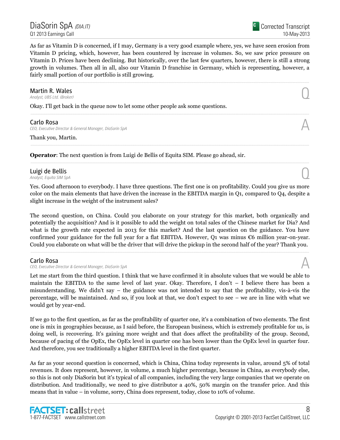As far as Vitamin D is concerned, if I may, Germany is a very good example where, yes, we have seen erosion from Vitamin D pricing, which, however, has been countered by increase in volumes. So, we saw price pressure on Vitamin D. Prices have been declining. But historically, over the last few quarters, however, there is still a strong growth in volumes. Then all in all, also our Vitamin D franchise in Germany, which is representing, however, a fairly small portion of our portfolio is still growing.

......................................................................................................................................................................................................................................................

......................................................................................................................................................................................................................................................

......................................................................................................................................................................................................................................................

......................................................................................................................................................................................................................................................

### **Martin R. Wales**<br>Analyst, UBS Ltd. (Broker) **Martin R. Wales**<br>Analyst, UBS Ltd. (Broker)

Okay. I'll get back in the queue now to let some other people ask some questions.

### Carlo Rosa

*CEO, Executive Director & General Manager, DiaSorin SpA* A

Thank you, Martin.

**Operator**: The next question is from Luigi de Bellis of Equita SIM. Please go ahead, sir.

# **Luigi de Bellis**<br>Analyst, Equita SIM SpA

Luigi de Bellis<br>Analyst, Equita SIM SpA

Yes. Good afternoon to everybody. I have three questions. The first one is on profitability. Could you give us more color on the main elements that have driven the increase in the EBITDA margin in Q1, compared to Q4, despite a slight increase in the weight of the instrument sales?

The second question, on China. Could you elaborate on your strategy for this market, both organically and potentially the acquisition? And is it possible to add the weight on total sales of the Chinese market for Dia? And what is the growth rate expected in 2013 for this market? And the last question on the guidance. You have confirmed your guidance for the full year for a flat EBITDA. However, Q1 was minus  $\epsilon$ 6 million year-on-year. Could you elaborate on what will be the driver that will drive the pickup in the second half of the year? Thank you.

......................................................................................................................................................................................................................................................

### Carlo Rosa

*CEO, Executive Director & General Manager, DiaSorin SpA* A

Let me start from the third question. I think that we have confirmed it in absolute values that we would be able to maintain the EBITDA to the same level of last year. Okay. Therefore, I don't – I believe there has been a misunderstanding. We didn't say – the guidance was not intended to say that the profitability, vis-à-vis the percentage, will be maintained. And so, if you look at that, we don't expect to see – we are in line with what we would get by year-end.

If we go to the first question, as far as the profitability of quarter one, it's a combination of two elements. The first one is mix in geographies because, as I said before, the European business, which is extremely profitable for us, is doing well, is recovering. It's gaining more weight and that does affect the profitability of the group. Second, because of pacing of the OpEx, the OpEx level in quarter one has been lower than the OpEx level in quarter four. And therefore, you see traditionally a higher EBITDA level in the first quarter.

As far as your second question is concerned, which is China, China today represents in value, around 5% of total revenues. It does represent, however, in volume, a much higher percentage, because in China, as everybody else, so this is not only DiaSorin but it's typical of all companies, including the very large companies that we operate on distribution. And traditionally, we need to give distributor a 40%, 50% margin on the transfer price. And this means that in value – in volume, sorry, China does represent, today, close to 10% of volume.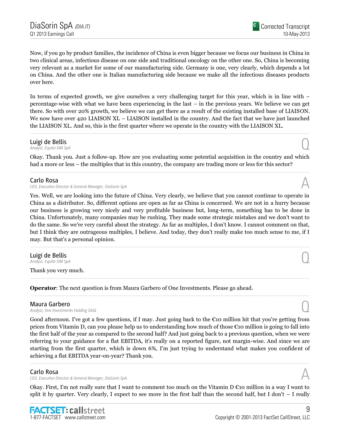Now, if you go by product families, the incidence of China is even bigger because we focus our business in China in two clinical areas, infectious disease on one side and traditional oncology on the other one. So, China is becoming very relevant as a market for some of our manufacturing side. Germany is one, very clearly, which depends a lot on China. And the other one is Italian manufacturing side because we make all the infectious diseases products over here.

In terms of expected growth, we give ourselves a very challenging target for this year, which is in line with – percentage-wise with what we have been experiencing in the last – in the previous years. We believe we can get there. So with over 20% growth, we believe we can get there as a result of the existing installed base of LIAISON. We now have over 420 LIAISON XL – LIAISON installed in the country. And the fact that we have just launched the LIAISON XL. And so, this is the first quarter where we operate in the country with the LIAISON XL.

......................................................................................................................................................................................................................................................

### **Luigi de Bellis**<br>Analyst, Equita SIM SpA **Luigi de Bellis**<br>Analyst, Equita SIM SpA

Okay. Thank you. Just a follow-up. How are you evaluating some potential acquisition in the country and which had a more or less – the multiples that in this country, the company are trading more or less for this sector? ......................................................................................................................................................................................................................................................

### Carlo Rosa

*CEO, Executive Director & General Manager, DiaSorin SpA* A

Yes. Well, we are looking into the future of China. Very clearly, we believe that you cannot continue to operate in China as a distributor. So, different options are open as far as China is concerned. We are not in a hurry because our business is growing very nicely and very profitable business but, long-term, something has to be done in China. Unfortunately, many companies may be rushing. They made some strategic mistakes and we don't want to do the same. So we're very careful about the strategy. As far as multiples, I don't know. I cannot comment on that, but I think they are outrageous multiples, I believe. And today, they don't really make too much sense to me, if I may. But that's a personal opinion.

......................................................................................................................................................................................................................................................

......................................................................................................................................................................................................................................................

......................................................................................................................................................................................................................................................

Luigi de Bellis<br>Analyst, Equita SIM SpA **Luigi de Bellis**<br>Analyst, Equita SIM SpA

Thank you very much.

**Operator**: The next question is from Maura Garbero of One Investments. Please go ahead.

**Maura Garbero**<br>Analyst, One Investments Holding SAGL **Maura Garbero**<br>Analyst, One Investments Holding SAGL

Good afternoon. I've got a few questions, if I may. Just going back to the  $\epsilon$ 10 million hit that you're getting from prices from Vitamin D, can you please help us to understanding how much of those €10 million is going to fall into the first half of the year as compared to the second half? And just going back to a previous question, when we were referring to your guidance for a flat EBITDA, it's really on a reported figure, not margin-wise. And since we are starting from the first quarter, which is down 6%, I'm just trying to understand what makes you confident of achieving a flat EBITDA year-on-year? Thank you.

......................................................................................................................................................................................................................................................

### Carlo Rosa

*CEO, Executive Director & General Manager, DiaSorin SpA* A

Okay. First, I'm not really sure that I want to comment too much on the Vitamin D  $\epsilon$ 10 million in a way I want to split it by quarter. Very clearly, I expect to see more in the first half than the second half, but I don't  $-1$  really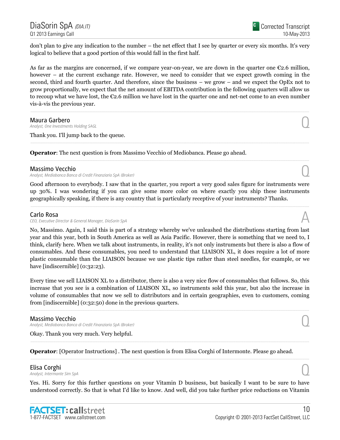don't plan to give any indication to the number – the net effect that I see by quarter or every six months. It's very logical to believe that a good portion of this would fall in the first half.

As far as the margins are concerned, if we compare year-on-year, we are down in the quarter one  $\epsilon$ 2.6 million, however – at the current exchange rate. However, we need to consider that we expect growth coming in the second, third and fourth quarter. And therefore, since the business – we grow – and we expect the OpEx not to grow proportionally, we expect that the net amount of EBITDA contribution in the following quarters will allow us to recoup what we have lost, the €2.6 million we have lost in the quarter one and net-net come to an even number vis-à-vis the previous year.

......................................................................................................................................................................................................................................................

......................................................................................................................................................................................................................................................

......................................................................................................................................................................................................................................................

**Maura Garbero**<br>Analyst, One Investments Holding SAGL **Maura Garbero**<br>Analyst, One Investments Holding SAGL

Thank you. I'll jump back to the queue.

**Operator**: The next question is from Massimo Vecchio of Mediobanca. Please go ahead.

### Massimo Vecchio

*Analyst, Mediobanca Banca di Credit Finanziario SpA (Broker)* Q

Good afternoon to everybody. I saw that in the quarter, you report a very good sales figure for instruments were up 30%. I was wondering if you can give some more color on where exactly you ship these instruments geographically speaking, if there is any country that is particularly receptive of your instruments? Thanks.

......................................................................................................................................................................................................................................................

### Carlo Rosa

*CEO, Executive Director & General Manager, DiaSorin SpA* A

No, Massimo. Again, I said this is part of a strategy whereby we've unleashed the distributions starting from last year and this year, both in South America as well as Asia Pacific. However, there is something that we need to, I think, clarify here. When we talk about instruments, in reality, it's not only instruments but there is also a flow of consumables. And these consumables, you need to understand that LIAISON XL, it does require a lot of more plastic consumable than the LIAISON because we use plastic tips rather than steel needles, for example, or we have [indiscernible] (0:32:23).

Every time we sell LIAISON XL to a distributor, there is also a very nice flow of consumables that follows. So, this increase that you see is a combination of LIAISON XL, so instruments sold this year, but also the increase in volume of consumables that now we sell to distributors and in certain geographies, even to customers, coming from [indiscernible] (0:32:50) done in the previous quarters.

......................................................................................................................................................................................................................................................

......................................................................................................................................................................................................................................................

......................................................................................................................................................................................................................................................

### Massimo Vecchio

*Analyst, Mediobanca Banca di Credit Finanziario SpA (Broker)* Q

Okay. Thank you very much. Very helpful.

**Operator**: [Operator Instructions] . The next question is from Elisa Corghi of Intermonte. Please go ahead.

**Elisa Corghi**<br>Analyst, Intermonte Sim SpA *Analyst, Intermonte Sim SpA* Q

Yes. Hi. Sorry for this further questions on your Vitamin D business, but basically I want to be sure to have understood correctly. So that is what I'd like to know. And well, did you take further price reductions on Vitamin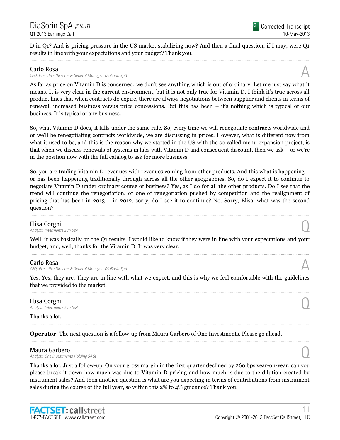D in Q1? And is pricing pressure in the US market stabilizing now? And then a final question, if I may, were Q1 results in line with your expectations and your budget? Thank you. ......................................................................................................................................................................................................................................................

### Carlo Rosa

*CEO, Executive Director & General Manager, DiaSorin SpA* A

As far as price on Vitamin D is concerned, we don't see anything which is out of ordinary. Let me just say what it means. It is very clear in the current environment, but it is not only true for Vitamin D. I think it's true across all product lines that when contracts do expire, there are always negotiations between supplier and clients in terms of renewal, increased business versus price concessions. But this has been – it's nothing which is typical of our business. It is typical of any business.

So, what Vitamin D does, it falls under the same rule. So, every time we will renegotiate contracts worldwide and or we'll be renegotiating contracts worldwide, we are discussing in prices. However, what is different now from what it used to be, and this is the reason why we started in the US with the so-called menu expansion project, is that when we discuss renewals of systems in labs with Vitamin D and consequent discount, then we ask – or we're in the position now with the full catalog to ask for more business.

So, you are trading Vitamin D revenues with revenues coming from other products. And this what is happening – or has been happening traditionally through across all the other geographies. So, do I expect it to continue to negotiate Vitamin D under ordinary course of business? Yes, as I do for all the other products. Do I see that the trend will continue the renegotiation, or one of renegotiation pushed by competition and the realignment of pricing that has been in 2013 – in 2012, sorry, do I see it to continue? No. Sorry, Elisa, what was the second question?

......................................................................................................................................................................................................................................................

**Elisa Corghi**<br>Analyst, Intermonte Sim SpA *Analyst, Intermonte Sim SpA* Q

Well, it was basically on the Q1 results. I would like to know if they were in line with your expectations and your budget, and, well, thanks for the Vitamin D. It was very clear. ......................................................................................................................................................................................................................................................

### Carlo Rosa

*CEO, Executive Director & General Manager, DiaSorin SpA* A

Yes. Yes, they are. They are in line with what we expect, and this is why we feel comfortable with the guidelines that we provided to the market. ......................................................................................................................................................................................................................................................

......................................................................................................................................................................................................................................................

......................................................................................................................................................................................................................................................

**Elisa Corghi**<br>Analyst, Intermonte Sim SpA *Analyst, Intermonte Sim SpA* Q

Thanks a lot.

**Operator**: The next question is a follow-up from Maura Garbero of One Investments. Please go ahead.

**Maura Garbero**<br>Analyst, One Investments Holding SAGL **Maura Garbero**<br>Analyst, One Investments Holding SAGL

Thanks a lot. Just a follow-up. On your gross margin in the first quarter declined by 260 bps year-on-year, can you please break it down how much was due to Vitamin D pricing and how much is due to the dilution created by instrument sales? And then another question is what are you expecting in terms of contributions from instrument sales during the course of the full year, so within this 2% to 4% guidance? Thank you.



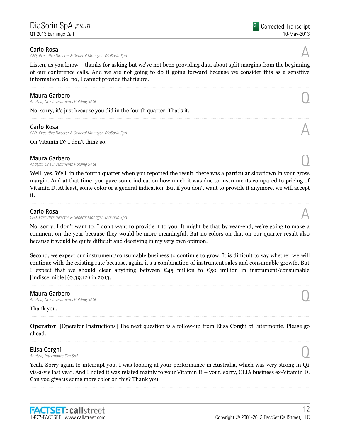*CEO, Executive Director & General Manager, DiaSorin SpA* A

Listen, as you know – thanks for asking but we've not been providing data about split margins from the beginning of our conference calls. And we are not going to do it going forward because we consider this as a sensitive information. So, no, I cannot provide that figure.

......................................................................................................................................................................................................................................................

......................................................................................................................................................................................................................................................

......................................................................................................................................................................................................................................................

**Maura Garbero**<br>Analyst, One Investments Holding SAGL **Maura Garbero**<br>Analyst, One Investments Holding SAGL

No, sorry, it's just because you did in the fourth quarter. That's it.

### Carlo Rosa

*CEO, Executive Director & General Manager, DiaSorin SpA* A

On Vitamin D? I don't think so.

**Maura Garbero**<br>Analyst, One Investments Holding SAGL **Maura Garbero**<br>Analyst, One Investments Holding SAGL

Well, yes. Well, in the fourth quarter when you reported the result, there was a particular slowdown in your gross margin. And at that time, you gave some indication how much it was due to instruments compared to pricing of Vitamin D. At least, some color or a general indication. But if you don't want to provide it anymore, we will accept it.

......................................................................................................................................................................................................................................................

### Carlo Rosa

*CEO, Executive Director & General Manager, DiaSorin SpA* A

No, sorry, I don't want to. I don't want to provide it to you. It might be that by year-end, we're going to make a comment on the year because they would be more meaningful. But no colors on that on our quarter result also because it would be quite difficult and deceiving in my very own opinion.

Second, we expect our instrument/consumable business to continue to grow. It is difficult to say whether we will continue with the existing rate because, again, it's a combination of instrument sales and consumable growth. But I expect that we should clear anything between  $\epsilon_{45}$  million to  $\epsilon_{50}$  million in instrument/consumable [indiscernible] (0:39:12) in 2013.

......................................................................................................................................................................................................................................................

**Maura Garbero**<br>Analyst, One Investments Holding SAGL **Maura Garbero**<br>Analyst, One Investments Holding SAGL

### Thank you.

**Operator**: [Operator Instructions] The next question is a follow-up from Elisa Corghi of Intermonte. Please go ahead. ......................................................................................................................................................................................................................................................

......................................................................................................................................................................................................................................................

### Elisa Corghi *Analyst, Intermonte Sim SpA* Q

Yeah. Sorry again to interrupt you. I was looking at your performance in Australia, which was very strong in Q1 vis-à-vis last year. And I noted it was related mainly to your Vitamin D – your, sorry, CLIA business ex-Vitamin D. Can you give us some more color on this? Thank you.



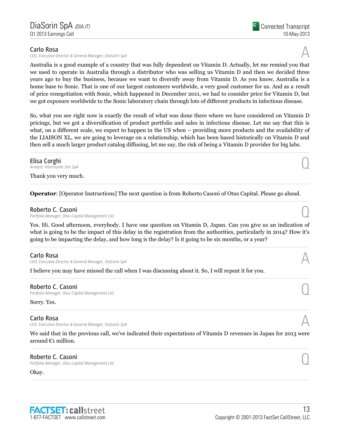*CEO, Executive Director & General Manager, DiaSorin SpA* A

Australia is a good example of a country that was fully dependent on Vitamin D. Actually, let me remind you that we used to operate in Australia through a distributor who was selling us Vitamin D and then we decided three years ago to buy the business, because we want to diversify away from Vitamin D. As you know, Australia is a home base to Sonic. That is one of our largest customers worldwide, a very good customer for us. And as a result of price renegotiation with Sonic, which happened in December 2011, we had to consider price for Vitamin D, but we got exposure worldwide to the Sonic laboratory chain through lots of different products in infectious disease.

So, what you see right now is exactly the result of what was done there where we have considered on Vitamin D pricings, but we got a diversification of product portfolio and sales in infectious disease. Let me say that this is what, on a different scale, we expect to happen in the US when – providing more products and the availability of the LIAISON XL, we are going to leverage on a relationship, which has been based historically on Vitamin D and then sell a much larger product catalog diffusing, let me say, the risk of being a Vitamin D provider for big labs.

......................................................................................................................................................................................................................................................

......................................................................................................................................................................................................................................................

......................................................................................................................................................................................................................................................

### **Elisa Corghi**<br>Analyst, Intermonte Sim SpA *Analyst, Intermonte Sim SpA* Q

Thank you very much.

**Operator**: [Operator Instructions] The next question is from Roberto Casoni of Otus Capital. Please go ahead.

Roberto C. Casoni<br>Portfolio Manager, Otus Capital Management Ltd. *Portfolio Manager, Otus Capital Management Ltd.* Q

Yes. Hi. Good afternoon, everybody. I have one question on Vitamin D, Japan. Can you give us an indication of what is going to be the impact of this delay in the registration from the authorities, particularly in 2014? How it's going to be impacting the delay, and how long is the delay? Is it going to be six months, or a year?

......................................................................................................................................................................................................................................................

......................................................................................................................................................................................................................................................

### Carlo Rosa

*CEO, Executive Director & General Manager, DiaSorin SpA* A

I believe you may have missed the call when I was discussing about it. So, I will repeat it for you.

Roberto C. Casoni<br>Portfolio Manager, Otus Capital Management Ltd. *Portfolio Manager, Otus Capital Management Ltd.* Q

Sorry. Yes.

### Carlo Rosa

*CEO, Executive Director & General Manager, DiaSorin SpA* A

We said that in the previous call, we've indicated their expectations of Vitamin D revenues in Japan for 2013 were around  $E_1$  million. ......................................................................................................................................................................................................................................................

......................................................................................................................................................................................................................................................

......................................................................................................................................................................................................................................................

Roberto C. Casoni<br>Portfolio Manager, Otus Capital Management Ltd. *Portfolio Manager, Otus Capital Management Ltd.* Q

Okay.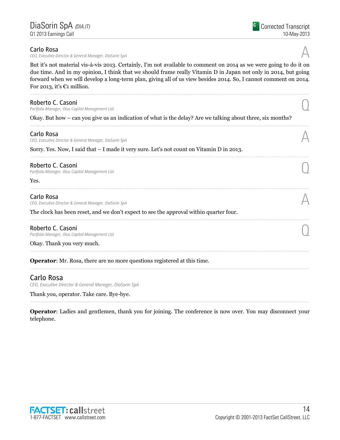*CEO, Executive Director & General Manager, DiaSorin SpA* A

But it's not material vis-à-vis 2013. Certainly, I'm not available to comment on 2014 as we were going to do it on due time. And in my opinion, I think that we should frame really Vitamin D in Japan not only in 2014, but going forward when we will develop a long-term plan, giving all of us view besides 2014. So, I cannot comment on 2014. For 2013, it's  $E_1$  million.

......................................................................................................................................................................................................................................................

......................................................................................................................................................................................................................................................

......................................................................................................................................................................................................................................................

......................................................................................................................................................................................................................................................

......................................................................................................................................................................................................................................................

......................................................................................................................................................................................................................................................

......................................................................................................................................................................................................................................................

Roberto C. Casoni<br>Portfolio Manager, Otus Capital Management Ltd. *Portfolio Manager, Otus Capital Management Ltd.* Q

Okay. But how – can you give us an indication of what is the delay? Are we talking about three, six months?

### Carlo Rosa

*CEO, Executive Director & General Manager, DiaSorin SpA* A

Sorry. Yes. Now, I said that – I made it very sure. Let's not count on Vitamin D in 2013.

### Roberto C. Casoni

Portfolio Manager, Otus Capital Management Ltd.

Yes.

### Carlo Rosa

*CEO, Executive Director & General Manager, DiaSorin SpA* A

The clock has been reset, and we don't expect to see the approval within quarter four.

Roberto C. Casoni<br>Portfolio Manager, Otus Capital Management Ltd. *Portfolio Manager, Otus Capital Management Ltd.* Q

Okay. Thank you very much.

**Operator**: Mr. Rosa, there are no more questions registered at this time.

### Carlo Rosa

*CEO, Executive Director & General Manager, DiaSorin SpA*

Thank you, operator. Take care. Bye-bye.

**Operator**: Ladies and gentlemen, thank you for joining. The conference is now over. You may disconnect your telephone.